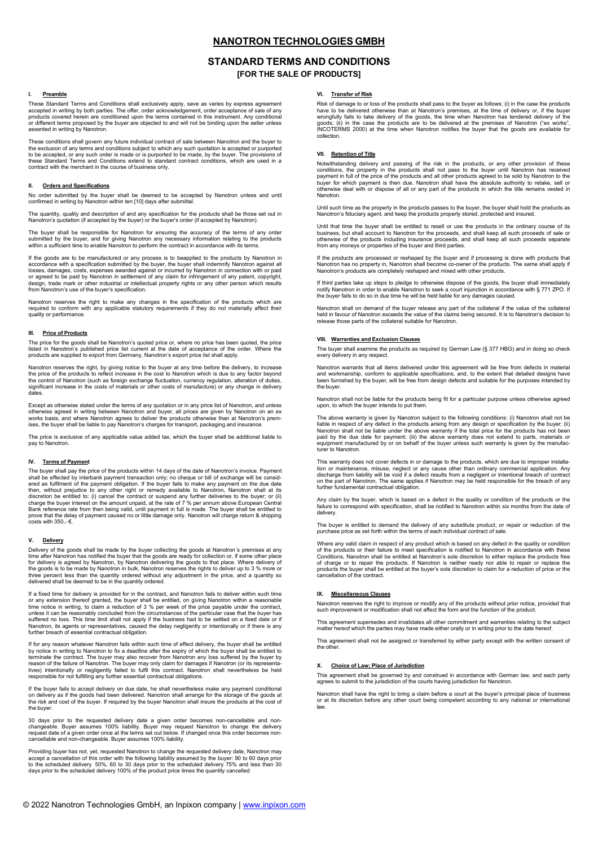## **NANOTRON TECHNOLOGIES GMBH**

## **STANDARD TERMS AND CONDITIONS [FOR THE SALE OF PRODUCTS]**

#### **I. Preamble**

These Standard Terms and Conditions shall exclusively apply, save as varies by express agreement<br>accepted in writing by both parties. The offer, order acknowledgement, order acceptance of sale of any<br>products covered herei or different terms proposed by the buyer are objected to and will not be binding upon the seller unless more in terms proposed by<br>ented in writing by Nanotron.

These conditions shall govern any future individual contract of sale between Nanotron and the buyer to the exclusion of any terms and conditions subject to which any such quotation is accepted or purported<br>to be accepted, or any such order is made or is purported to be made, by the buyer. The provisions of<br>these Standard Te contract with the merchant in the course of business only.

### **II. Orders and Specifications**

No order submitted by the buyer shall be deemed to be accepted by Nanotron unless and until confirmed in writing by Nanotron within ten [10] days after submittal.

The quantity, quality and description of and any specification for the products shall be those set out in Nanotron's quotation (if accepted by the buyer) or the buyer's order (if accepted by Nanotron).

The buyer shall be responsible for Nanotron for ensuring the accuracy of the terms of any order submitted by the buyer, and for giving Nanotron any necessary information relating to the products within a sufficient time to enable Nanotron to perform the contract in accordance with its terms.

If the goods are to be manufactured or any process is to beapplied to the products by Nanotron in accordance with a specification submitted by the buyer, the buyer shall indemnify Nanotron against all<br>losses, damages, costs, expenses awarded against or incurred by Nanotron in connection with or paid<br>or agreed to be pai design, trade mark or other industrial or intellectual property rights or any other person which results from Nanotron's use of the buyer's specification.

Nanotron reserves the right to make any changes in the specification of the products which are required to conform with any applicable statutory requirements if they do not materially affect their quality or performance.

#### **III. Price of Products**

The price for the goods shall be Nanotron's quoted price or, where no price has been quoted, the price listed in Nanotron's published price list current at the date of acceptance of the order. Where the products are supplied to export from Germany, Nanotron's export price list shall apply.

Nanotron reserves the right, by giving notice to the buyer at any time before the delivery, to increase the price of the products to reflect increase in the cost to Nanotron which is due to any factor beyond<br>the control of Nanotron (such as foreign exchange fluctuation, currency regulation, alteration of duties,<br>significant dates.

Except as otherwise stated under the terms of any quotation or in any price list of Nanotron, and unless<br>otherwise agreed in writing between Nanotron and buyer, all prices are given by Nanotron on an ex<br>works basis, and wh

The price is exclusive of any applicable value added tax, which the buyer shall be additional liable to pay to Nanotron.

### **IV. Terms of Payment**

The buyer shall pay the price of the products within 14 days of the date of Nanotron's invoice. Payment shall be effected by interbank payment transaction only; no cheque or bill of exchange will be considered as fulfilment of the payment obligation. If the buyer fails to make any payment on the due date<br>then, without prejud Bank reference rate from then being valid, until payment in full is made. The buyer shall be entitled to<br>prove that the delay of payment caused no or little damage only. Nanotron will charge return & shipping<br>costs with 35

#### **V. Delivery**

Delivery of the goods shall be made by the buyer collecting the goods at Nanotron´s premises at any time after Nanotron has notified the buyer that the goods are ready for collection or, if some other place for delivery is agreed by Nanotron, by Nanotron delivering the goods to that place. Where delivery of<br>the goods is to be made by Nanotron in bulk, Nanotron reserves the rights to deliver up to 3 % more or<br>three percent les delivered shall be deemed to be in the quantity ordered.

If a fixed time for delivery is provided for in the contract, and Nanotron fails to deliver within such time or any extension thereof granted, the buyer shall be entitled, on giving Nanotron within a reasonable<br>time notice in writing, to claim a reduction of 3 % per week of the price payable under the contract,<br>unless it can be r Nanotron, its agents or representatives, caused the delay negligently or intentionally or if there is any further breach of essential contractual obligation.

If for any reason whatever Nanotron fails within such time of effect delivery, the buyer shall be entitled by notice in writing to Nanotron to fix a deadline affer the expiry of which the buyer shall be entitled to te<br>terminate the contract. The buyer may also recover from Nanotron any loss suffered by the buyer by<br>reason of th

If the buyer fails to accept delivery on due date, he shall nevertheless make any payment conditional on delivery as if the goods had been delivered. Nanotron shall arrange for the storage of the goods at the risk and cost of the buyer. If required by the buyer Nanotron shall insure the products at the cost of the buyer.

30 days prior to the requested delivery date a given order becomes non-cancellable and non-<br>changeable. Buyer assumes 100% liability. Buyer may request Nanotron to change the delivery<br>request date of a given order once at

Providing buyer has not, yet, requested Nanotron to change the requested delivery date, Nanotron may accept a cancellation of this order with the following liability assumed by the buyer: 90 to 60 days prior<br>to the scheduled delivery 50%, 60 to 30 days prior to the scheduled delivery 75% and less than 30<br>days prior to th

### **VI. Transfer of Risk**

Risk of damage to or loss of the products shall pass to the buyer as follows: (i) in the case the products<br>have to be delivered otherwise than at Nanotron's premises, at the time of delivery or, if the buyer<br>wrongfully fai goods; (ii) in the case the products are to be delivered at the premises of Nanotron ("ex works", INCOTERMS 2000) at the time when Nanotron notifies the buyer that the goods are available for collection.

### **VII. Retention of Title**

Notwithstanding delivery and passing of the risk in the products, or any other provision of these conditions, the property in the products shall not pass to the buyer until Nanotron has received payment in full of the price of the products and all other products agreed to be sold by Nanotron to the<br>buyer for which payment is then due. Nanotron shall have the absolute authority to retake, sell or<br>otherwise deal wit Nanotron.

Until such time as the property in the products passes to the buyer, the buyer shall hold the products as Nanotron's fiduciary agent, and keep the products properly stored, protected and insured.

Until that time the buyer shall be entitled to resell or use the products in the ordinary course of its business, but shall account to Nanotron for the proceeds, and shall keep all such proceeds of sale or<br>otherwise of the products including insurance proceeds, and shall keep all such proceeds separate<br>from any moneys or pro

It the products are processed or reshaped by the buyer and it processing is done with products that<br>Nanotron has no property in, Nanotron shall become co-owner of the products. The same shall apply if<br>Nanotron's products a

If third parties take up steps to pledge to otherwise dispose of the goods, the buyer shall immediately notify Nanotron in order to enable Nanotron to seek a court injunction in accordance with § 771 ZPO. If the buyer fails to do so in due time he will be held liable for any damages caused.

Nanotron shall on demand of the buyer release any part of the collateral if the value of the collateral held in favour of Nanotron exceeds the value of the claims being secured. It is to Nanotron's decision to release those parts of the collateral suitable for Nanotron.

#### **VIII. Warranties and Exclusion Clauses**

The buyer shall examine the products as required by German Law (§ 377 HBG) and in doing so check every delivery in any respect.

Nanotron warrants that all items delivered under this agreement will be free from defects in material and workmanship, conform to applicable specifications, and, to the extent that detailed designs have been furnished by the buyer, will be free from design defects and suitable for the purposes intended by the buyer.

Nanotron shall not be liable for the products being fit for a particular purpose unless otherwise agreed upon, to which the buyer intends to put them.

The above warranty is given by Nanotron subject to the following conditions: (i) Nanotron shall not be liable in respect of any defect in the products arising from any design or specification by the buyer; (ii) Nanotron shall not be liable under the above warranty if the total price for the products has not been<br>paid by the due date for payment; (iii) the above warranty does not extend to parts, materials or<br>equipment manufacture turer to Nanotron.

This warranty does not cover defects in or damage to the products, which are due to improper installation or maintenance, misuse, neglect or any cause other than ordinary commercial application. Any<br>discharge from liability will be void if a defect results from a negligent or intentional breach of contract<br>on the part of further fundamental contractual obligation.

Any claim by the buyer, which is based on a defect in the quality or condition of the products or the failure to correspond with specification, shall be notified to Nanotron within six months from the date of delivery.

The buyer is entitled to demand the delivery of any substitute product, or repair or reduction of the purchase price as set forth within the terms of each individual contract of sale.

Where any valid claim in respect of any product which is based on any defect in the quality or condition<br>of the products or their failure to meet specification is notified to Nanotron in accordance with these<br>Conditions, N of charge or to repair the products. If Nanotron is neither ready nor able to repair or replace the products the buyer shall be entitled at the buyer's sole discretion to claim for a reduction of price or the cancellation of the contract.

#### **IX. Miscellaneous Clauses**

Nanotron reserves the right to improve or modify any of the products without prior notice, provided that such improvement or modification shall not affect the form and the function of the product.

This agreement supersedes and invalidates all other commitment and warranties relating to the subject matter hereof which the parties may have made either orally or in writing prior to the date hereof.

This agreement shall not be assigned or transferred by either party except with the written consent of the other.

## **X. Choice of Law; Place of Jurisdiction**

This agreement shall be governed by and construed in accordance with German law, and each party agrees to submit to the jurisdiction of the courts having jurisdiction for Nanotron.

Nanotron shall have the right to bring a claim before a court at the buyer's principal place of business or at its discretion before any other court being competent according to any national or international law.